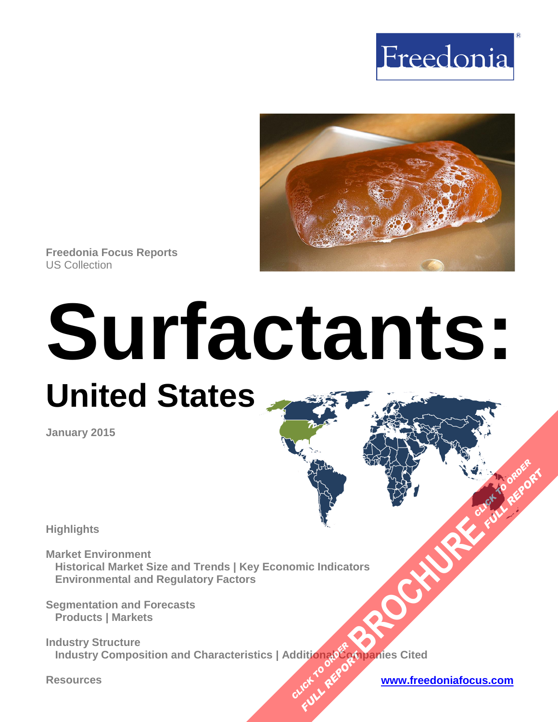



**Freedonia Focus Reports** US Collection

# **Surfactants: United States**

**January 2015**

**Highlights**

**Market Environment Historical Market Size and Trends | Key Economic Indicators Environmental and Regulatory Factors** 

**Segmentation and Forecasts Products | Markets** 

**Industry Structure Industry Composition and Characteristics | AdditionalCompanies Cited [BROCHURE](http://www.freedoniagroup.com/FocusDetails.aspx?ReferrerId=FM-FocusBro&ReportID=FF35097) CLICK TO ORDER CLICK TO REPORT FULL REPORT** 

**Resources [www.freedoniafocus.com](http://www.freedoniagroup.com/FocusReports.aspx?ReferrerId=FM-FocusBro)**

**FULL REPORT**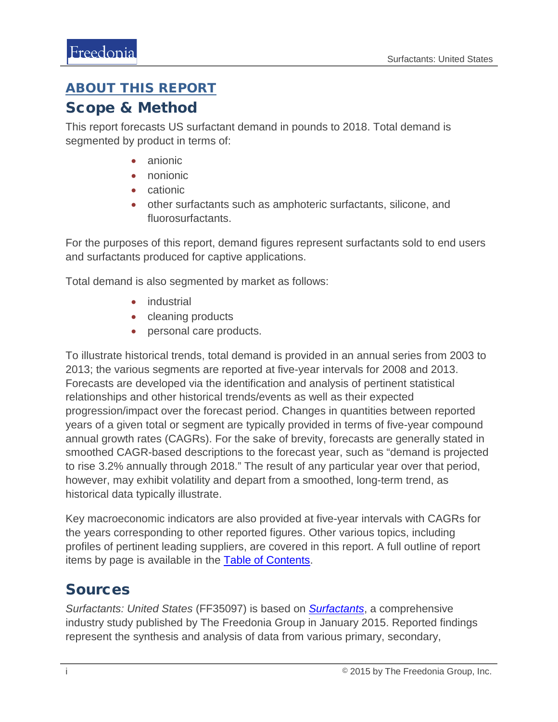#### <span id="page-1-0"></span>ABOUT THIS REPORT

#### Scope & Method

This report forecasts US surfactant demand in pounds to 2018. Total demand is segmented by product in terms of:

- anionic
- nonionic
- cationic
- other surfactants such as amphoteric surfactants, silicone, and fluorosurfactants.

For the purposes of this report, demand figures represent surfactants sold to end users and surfactants produced for captive applications.

Total demand is also segmented by market as follows:

- industrial
- cleaning products
- personal care products.

To illustrate historical trends, total demand is provided in an annual series from 2003 to 2013; the various segments are reported at five-year intervals for 2008 and 2013. Forecasts are developed via the identification and analysis of pertinent statistical relationships and other historical trends/events as well as their expected progression/impact over the forecast period. Changes in quantities between reported years of a given total or segment are typically provided in terms of five-year compound annual growth rates (CAGRs). For the sake of brevity, forecasts are generally stated in smoothed CAGR-based descriptions to the forecast year, such as "demand is projected to rise 3.2% annually through 2018." The result of any particular year over that period, however, may exhibit volatility and depart from a smoothed, long-term trend, as historical data typically illustrate.

Key macroeconomic indicators are also provided at five-year intervals with CAGRs for the years corresponding to other reported figures. Other various topics, including profiles of pertinent leading suppliers, are covered in this report. A full outline of report items by page is available in the [Table of Contents.](#page-3-0)

### Sources

*Surfactants: United States* (FF35097) is based on *[Surfactants](http://www.freedoniagroup.com/DocumentDetails.aspx?ReferrerId=FL-FOCUS&studyid=3247)*, a comprehensive industry study published by The Freedonia Group in January 2015. Reported findings represent the synthesis and analysis of data from various primary, secondary,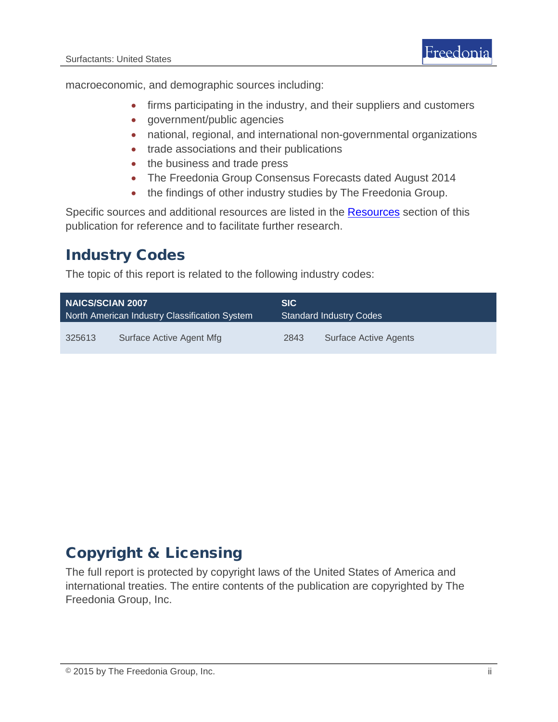macroeconomic, and demographic sources including:

- firms participating in the industry, and their suppliers and customers
- government/public agencies
- national, regional, and international non-governmental organizations
- trade associations and their publications
- the business and trade press
- The Freedonia Group Consensus Forecasts dated August 2014
- the findings of other industry studies by The Freedonia Group.

Specific sources and additional resources are listed in the **Resources** section of this publication for reference and to facilitate further research.

#### Industry Codes

The topic of this report is related to the following industry codes:

| <b>NAICS/SCIAN 2007</b>                       |                          | <b>SIC</b>                     |                       |
|-----------------------------------------------|--------------------------|--------------------------------|-----------------------|
| North American Industry Classification System |                          | <b>Standard Industry Codes</b> |                       |
| 325613                                        | Surface Active Agent Mfg | 2843                           | Surface Active Agents |

### Copyright & Licensing

The full report is protected by copyright laws of the United States of America and international treaties. The entire contents of the publication are copyrighted by The Freedonia Group, Inc.